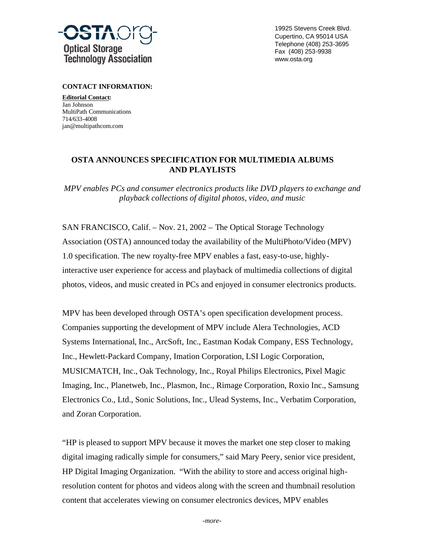

19925 Stevens Creek Blvd. Cupertino, CA 95014 USA Telephone (408) 253-3695 Fax (408) 253-9938 www.osta.org

**CONTACT INFORMATION:**

**Editorial Contact:** Jan Johnson MultiPath Communications 714/633-4008 jan@multipathcom.com

## **OSTA ANNOUNCES SPECIFICATION FOR MULTIMEDIA ALBUMS AND PLAYLISTS**

*MPV enables PCs and consumer electronics products like DVD players to exchange and playback collections of digital photos, video, and music*

SAN FRANCISCO, Calif. – Nov. 21, 2002 – The Optical Storage Technology Association (OSTA) announced today the availability of the MultiPhoto/Video (MPV) 1.0 specification. The new royalty-free MPV enables a fast, easy-to-use, highlyinteractive user experience for access and playback of multimedia collections of digital photos, videos, and music created in PCs and enjoyed in consumer electronics products.

MPV has been developed through OSTA's open specification development process. Companies supporting the development of MPV include Alera Technologies, ACD Systems International, Inc., ArcSoft, Inc., Eastman Kodak Company, ESS Technology, Inc., Hewlett-Packard Company, Imation Corporation, LSI Logic Corporation, MUSICMATCH, Inc., Oak Technology, Inc., Royal Philips Electronics, Pixel Magic Imaging, Inc., Planetweb, Inc., Plasmon, Inc., Rimage Corporation, Roxio Inc., Samsung Electronics Co., Ltd., Sonic Solutions, Inc., Ulead Systems, Inc., Verbatim Corporation, and Zoran Corporation.

"HP is pleased to support MPV because it moves the market one step closer to making digital imaging radically simple for consumers," said Mary Peery, senior vice president, HP Digital Imaging Organization. "With the ability to store and access original highresolution content for photos and videos along with the screen and thumbnail resolution content that accelerates viewing on consumer electronics devices, MPV enables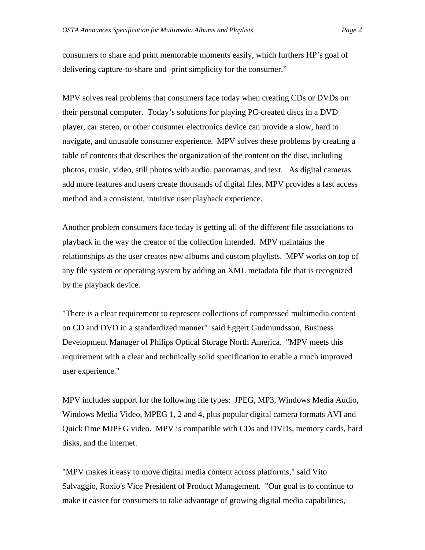consumers to share and print memorable moments easily, which furthers HP's goal of delivering capture-to-share and -print simplicity for the consumer."

MPV solves real problems that consumers face today when creating CDs or DVDs on their personal computer. Today's solutions for playing PC-created discs in a DVD player, car stereo, or other consumer electronics device can provide a slow, hard to navigate, and unusable consumer experience. MPV solves these problems by creating a table of contents that describes the organization of the content on the disc, including photos, music, video, still photos with audio, panoramas, and text. As digital cameras add more features and users create thousands of digital files, MPV provides a fast access method and a consistent, intuitive user playback experience.

Another problem consumers face today is getting all of the different file associations to playback in the way the creator of the collection intended. MPV maintains the relationships as the user creates new albums and custom playlists. MPV works on top of any file system or operating system by adding an XML metadata file that is recognized by the playback device.

"There is a clear requirement to represent collections of compressed multimedia content on CD and DVD in a standardized manner" said Eggert Gudmundsson, Business Development Manager of Philips Optical Storage North America. "MPV meets this requirement with a clear and technically solid specification to enable a much improved user experience."

MPV includes support for the following file types: JPEG, MP3, Windows Media Audio, Windows Media Video, MPEG 1, 2 and 4, plus popular digital camera formats AVI and QuickTime MJPEG video. MPV is compatible with CDs and DVDs, memory cards, hard disks, and the internet.

"MPV makes it easy to move digital media content across platforms," said Vito Salvaggio, Roxio's Vice President of Product Management. "Our goal is to continue to make it easier for consumers to take advantage of growing digital media capabilities,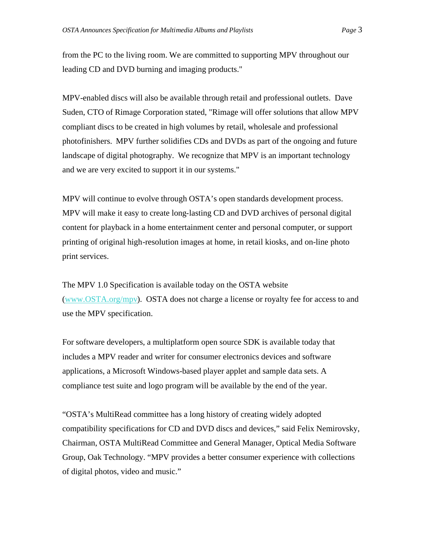from the PC to the living room. We are committed to supporting MPV throughout our leading CD and DVD burning and imaging products."

MPV-enabled discs will also be available through retail and professional outlets. Dave Suden, CTO of Rimage Corporation stated, "Rimage will offer solutions that allow MPV compliant discs to be created in high volumes by retail, wholesale and professional photofinishers. MPV further solidifies CDs and DVDs as part of the ongoing and future landscape of digital photography. We recognize that MPV is an important technology and we are very excited to support it in our systems."

MPV will continue to evolve through OSTA's open standards development process. MPV will make it easy to create long-lasting CD and DVD archives of personal digital content for playback in a home entertainment center and personal computer, or support printing of original high-resolution images at home, in retail kiosks, and on-line photo print services.

The MPV 1.0 Specification is available today on the OSTA website (www.OSTA.org/mpv). OSTA does not charge a license or royalty fee for access to and use the MPV specification.

For software developers, a multiplatform open source SDK is available today that includes a MPV reader and writer for consumer electronics devices and software applications, a Microsoft Windows-based player applet and sample data sets. A compliance test suite and logo program will be available by the end of the year.

"OSTA's MultiRead committee has a long history of creating widely adopted compatibility specifications for CD and DVD discs and devices," said Felix Nemirovsky, Chairman, OSTA MultiRead Committee and General Manager, Optical Media Software Group, Oak Technology. "MPV provides a better consumer experience with collections of digital photos, video and music."